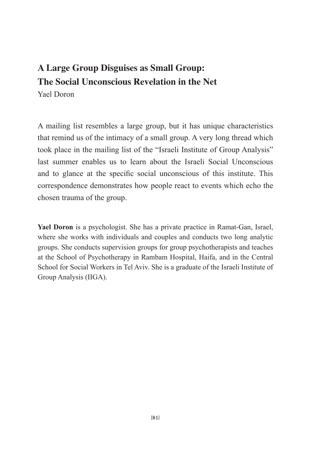### **A Large Group Disguises as Small Group: The Social Unconscious Revelation in the Net** Yael Doron

A mailing list resembles a large group, but it has unique characteristics that remind us of the intimacy of a small group. A very long thread which took place in the mailing list of the "Israeli Institute of Group Analysis" last summer enables us to learn about the Israeli Social Unconscious and to glance at the specifc social unconscious of this institute. This correspondence demonstrates how people react to events which echo the chosen trauma of the group.

**Yael Doron** is a psychologist. She has a private practice in Ramat-Gan, Israel, where she works with individuals and couples and conducts two long analytic groups. She conducts supervision groups for group psychotherapists and teaches at the School of Psychotherapy in Rambam Hospital, Haifa, and in the Central School for Social Workers in Tel Aviv. She is a graduate of the Israeli Institute of Group Analysis (IIGA).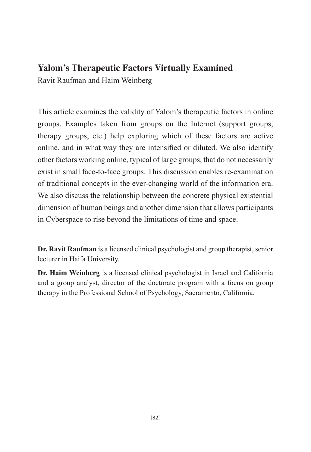### **Yalom's Therapeutic Factors Virtually Examined**

Ravit Raufman and Haim Weinberg

This article examines the validity of Yalom's therapeutic factors in online groups. Examples taken from groups on the Internet (support groups, therapy groups, etc.) help exploring which of these factors are active online, and in what way they are intensifed or diluted. We also identify other factors working online, typical of large groups, that do not necessarily exist in small face-to-face groups. This discussion enables re-examination of traditional concepts in the ever-changing world of the information era. We also discuss the relationship between the concrete physical existential dimension of human beings and another dimension that allows participants in Cyberspace to rise beyond the limitations of time and space.

**Dr. Ravit Raufman** is a licensed clinical psychologist and group therapist, senior lecturer in Haifa University.

**Dr. Haim Weinberg** is a licensed clinical psychologist in Israel and California and a group analyst, director of the doctorate program with a focus on group therapy in the Professional School of Psychology, Sacramento, California.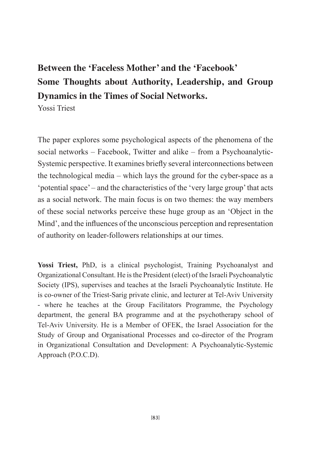# **Between the 'Faceless Mother' and the 'Facebook' Some Thoughts about Authority, Leadership, and Group Dynamics in the Times of Social Networks.**

Yossi Triest

The paper explores some psychological aspects of the phenomena of the social networks – Facebook, Twitter and alike – from a Psychoanalytic-Systemic perspective. It examines briefy several interconnections between the technological media – which lays the ground for the cyber-space as a 'potential space' – and the characteristics of the 'very large group'that acts as a social network. The main focus is on two themes: the way members of these social networks perceive these huge group as an 'Object in the Mind', and the infuences of the unconscious perception and representation of authority on leader-followers relationships at our times.

**Yossi Triest,** PhD, is a clinical psychologist, Training Psychoanalyst and Organizational Consultant. He isthe President (elect) of the Israeli Psychoanalytic Society (IPS), supervises and teaches at the Israeli Psychoanalytic Institute. He is co-owner of the Triest-Sarig private clinic, and lecturer at Tel-Aviv University - where he teaches at the Group Facilitators Programme, the Psychology department, the general BA programme and at the psychotherapy school of Tel-Aviv University. He is a Member of OFEK, the Israel Association for the Study of Group and Organisational Processes and co-director of the Program in Organizational Consultation and Development: A Psychoanalytic-Systemic Approach (P.O.C.D).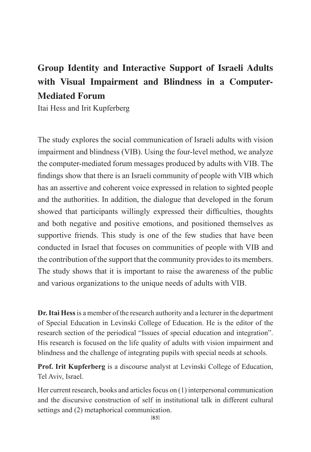## **Group Identity and Interactive Support of Israeli Adults with Visual Impairment and Blindness in a Computer-Mediated Forum**

Itai Hess and Irit Kupferberg

The study explores the social communication of Israeli adults with vision impairment and blindness (VIB). Using the four-level method, we analyze the computer-mediated forum messages produced by adults with VIB. The fndings show that there is an Israeli community of people with VIB which has an assertive and coherent voice expressed in relation to sighted people and the authorities. In addition, the dialogue that developed in the forum showed that participants willingly expressed their difficulties, thoughts and both negative and positive emotions, and positioned themselves as supportive friends. This study is one of the few studies that have been conducted in Israel that focuses on communities of people with VIB and the contribution of the support that the community provides to its members. The study shows that it is important to raise the awareness of the public and various organizations to the unique needs of adults with VIB.

**Dr.Itai Hess**is a member of the research authority and a lecturer in the department of Special Education in Levinski College of Education. He is the editor of the research section of the periodical "Issues of special education and integration". His research is focused on the life quality of adults with vision impairment and blindness and the challenge of integrating pupils with special needs at schools.

**Prof. Irit Kupferberg** is a discourse analyst at Levinski College of Education, Tel Aviv, Israel.

Her current research, books and articles focus on (1) interpersonal communication and the discursive construction of self in institutional talk in different cultural settings and (2) metaphorical communication.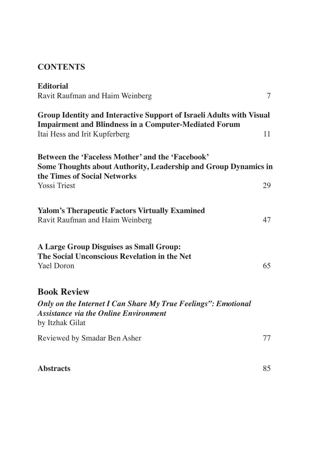### **CONTENTS**

| <b>Editorial</b>                                                                                                                 |    |
|----------------------------------------------------------------------------------------------------------------------------------|----|
| Ravit Raufman and Haim Weinberg                                                                                                  | 7  |
| Group Identity and Interactive Support of Israeli Adults with Visual                                                             |    |
| <b>Impairment and Blindness in a Computer-Mediated Forum</b>                                                                     |    |
| Itai Hess and Irit Kupferberg                                                                                                    | 11 |
| <b>Between the 'Faceless Mother' and the 'Facebook'</b>                                                                          |    |
| Some Thoughts about Authority, Leadership and Group Dynamics in                                                                  |    |
| the Times of Social Networks                                                                                                     |    |
| <b>Yossi Triest</b>                                                                                                              | 29 |
| <b>Yalom's Therapeutic Factors Virtually Examined</b>                                                                            |    |
| Ravit Raufman and Haim Weinberg                                                                                                  | 47 |
| <b>A Large Group Disguises as Small Group:</b>                                                                                   |    |
| The Social Unconscious Revelation in the Net                                                                                     |    |
| <b>Yael Doron</b>                                                                                                                | 65 |
| <b>Book Review</b>                                                                                                               |    |
|                                                                                                                                  |    |
| Only on the Internet I Can Share My True Feelings": Emotional<br><b>Assistance via the Online Environment</b><br>by Itzhak Gilat |    |
|                                                                                                                                  |    |
| Reviewed by Smadar Ben Asher                                                                                                     | 77 |
|                                                                                                                                  |    |

Abstracts 85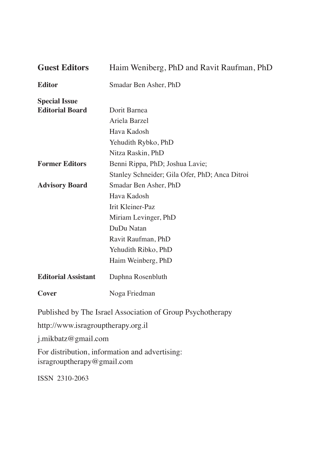| <b>Guest Editors</b>       | Haim Weniberg, PhD and Ravit Raufman, PhD      |
|----------------------------|------------------------------------------------|
| <b>Editor</b>              | Smadar Ben Asher, PhD                          |
| <b>Special Issue</b>       |                                                |
| <b>Editorial Board</b>     | Dorit Barnea                                   |
|                            | Ariela Barzel                                  |
|                            | Hava Kadosh                                    |
|                            | Yehudith Rybko, PhD                            |
|                            | Nitza Raskin, PhD                              |
| <b>Former Editors</b>      | Benni Rippa, PhD; Joshua Lavie;                |
|                            | Stanley Schneider; Gila Ofer, PhD; Anca Ditroi |
| <b>Advisory Board</b>      | Smadar Ben Asher, PhD                          |
|                            | Hava Kadosh                                    |
|                            | Irit Kleiner-Paz                               |
|                            | Miriam Levinger, PhD                           |
|                            | DuDu Natan                                     |
|                            | Ravit Raufman, PhD                             |
|                            | Yehudith Ribko, PhD                            |
|                            | Haim Weinberg, PhD                             |
| <b>Editorial Assistant</b> | Daphna Rosenbluth                              |
| Cover                      | Noga Friedman                                  |
|                            |                                                |

Published by The Israel Association of Group Psychotherapy

http://www.isragrouptherapy.org.il

j.mikbatz@gmail.com

For distribution, information and advertising: isragrouptherapy@gmail.com

ISSN 2310-2063